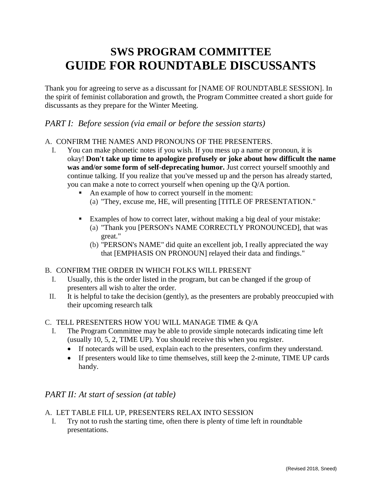# **SWS PROGRAM COMMITTEE GUIDE FOR ROUNDTABLE DISCUSSANTS**

Thank you for agreeing to serve as a discussant for [NAME OF ROUNDTABLE SESSION]. In the spirit of feminist collaboration and growth, the Program Committee created a short guide for discussants as they prepare for the Winter Meeting.

## *PART I: Before session (via email or before the session starts)*

### A. CONFIRM THE NAMES AND PRONOUNS OF THE PRESENTERS.

- I. You can make phonetic notes if you wish. If you mess up a name or pronoun, it is okay! **Don't take up time to apologize profusely or joke about how difficult the name was and/or some form of self-deprecating humor.** Just correct yourself smoothly and continue talking. If you realize that you've messed up and the person has already started, you can make a note to correct yourself when opening up the Q/A portion.
	- An example of how to correct yourself in the moment:
		- (a) "They, excuse me, HE, will presenting [TITLE OF PRESENTATION."
	- Examples of how to correct later, without making a big deal of your mistake:
		- (a) "Thank you [PERSON's NAME CORRECTLY PRONOUNCED], that was great."
		- (b) "PERSON's NAME" did quite an excellent job, I really appreciated the way that [EMPHASIS ON PRONOUN] relayed their data and findings."

#### B. CONFIRM THE ORDER IN WHICH FOLKS WILL PRESENT

- I. Usually, this is the order listed in the program, but can be changed if the group of presenters all wish to alter the order.
- II. It is helpful to take the decision (gently), as the presenters are probably preoccupied with their upcoming research talk

#### C. TELL PRESENTERS HOW YOU WILL MANAGE TIME & Q/A

- I. The Program Committee may be able to provide simple notecards indicating time left (usually 10, 5, 2, TIME UP). You should receive this when you register.
	- If notecards will be used, explain each to the presenters, confirm they understand.
	- If presenters would like to time themselves, still keep the 2-minute, TIME UP cards handy.

# *PART II: At start of session (at table)*

#### A. LET TABLE FILL UP, PRESENTERS RELAX INTO SESSION

I. Try not to rush the starting time, often there is plenty of time left in roundtable presentations.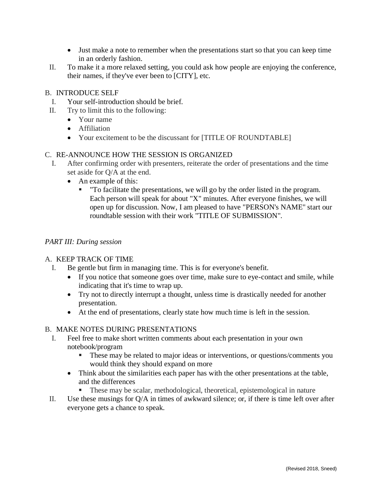- Just make a note to remember when the presentations start so that you can keep time in an orderly fashion.
- II. To make it a more relaxed setting, you could ask how people are enjoying the conference, their names, if they've ever been to [CITY], etc.

#### B. INTRODUCE SELF

- I. Your self-introduction should be brief.
- II. Try to limit this to the following:
	- Your name
	- Affiliation
	- Your excitement to be the discussant for [TITLE OF ROUNDTABLE]

#### C. RE-ANNOUNCE HOW THE SESSION IS ORGANIZED

- I. After confirming order with presenters, reiterate the order of presentations and the time set aside for Q/A at the end.
	- An example of this:
		- "To facilitate the presentations, we will go by the order listed in the program. Each person will speak for about "X" minutes. After everyone finishes, we will open up for discussion. Now, I am pleased to have "PERSON's NAME" start our roundtable session with their work "TITLE OF SUBMISSION".

#### *PART III: During session*

#### A. KEEP TRACK OF TIME

- I. Be gentle but firm in managing time. This is for everyone's benefit.
	- If you notice that someone goes over time, make sure to eye-contact and smile, while indicating that it's time to wrap up.
	- Try not to directly interrupt a thought, unless time is drastically needed for another presentation.
	- At the end of presentations, clearly state how much time is left in the session.

#### B. MAKE NOTES DURING PRESENTATIONS

- I. Feel free to make short written comments about each presentation in your own notebook/program
	- These may be related to major ideas or interventions, or questions/comments you would think they should expand on more
	- Think about the similarities each paper has with the other presentations at the table, and the differences
		- These may be scalar, methodological, theoretical, epistemological in nature
- II. Use these musings for Q/A in times of awkward silence; or, if there is time left over after everyone gets a chance to speak.